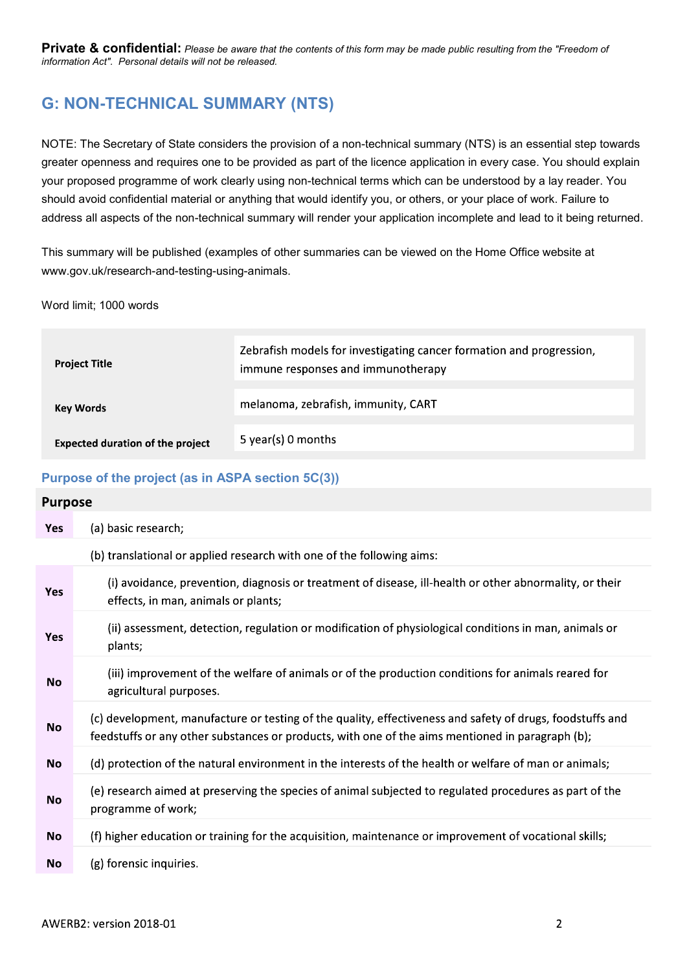# G: NON-TECHNICAL SUMMARY (NTS)

NOTE: The Secretary of State considers the provision of a non-technical summary (NTS) is an essential step towards greater openness and requires one to be provided as part of the licence application in every case. You should explain your proposed programme of work clearly using non-technical terms which can be understood by a lay reader. You should avoid confidential material or anything that would identify you, or others, or your place of work. Failure to address all aspects of the non-technical summary will render your application incomplete and lead to it being returned.

This summary will be published (examples of other summaries can be viewed on the Home Office website at www.gov.uk/research-and-testing-using-animals.

Word limit; 1000 words

| <b>Project Title</b>                    | Zebrafish models for investigating cancer formation and progression,<br>immune responses and immunotherapy |
|-----------------------------------------|------------------------------------------------------------------------------------------------------------|
| <b>Key Words</b>                        | melanoma, zebrafish, immunity, CART                                                                        |
| <b>Expected duration of the project</b> | 5 year(s) 0 months                                                                                         |

# Purpose of the project (as in ASPA section 5C(3))

#### **Purpose**

| <b>Yes</b> | (a) basic research;                                                                                                                                                                                           |
|------------|---------------------------------------------------------------------------------------------------------------------------------------------------------------------------------------------------------------|
|            | (b) translational or applied research with one of the following aims:                                                                                                                                         |
| Yes        | (i) avoidance, prevention, diagnosis or treatment of disease, ill-health or other abnormality, or their<br>effects, in man, animals or plants;                                                                |
| <b>Yes</b> | (ii) assessment, detection, regulation or modification of physiological conditions in man, animals or<br>plants;                                                                                              |
| No         | (iii) improvement of the welfare of animals or of the production conditions for animals reared for<br>agricultural purposes.                                                                                  |
| <b>No</b>  | (c) development, manufacture or testing of the quality, effectiveness and safety of drugs, foodstuffs and<br>feedstuffs or any other substances or products, with one of the aims mentioned in paragraph (b); |
| <b>No</b>  | (d) protection of the natural environment in the interests of the health or welfare of man or animals;                                                                                                        |
| <b>No</b>  | (e) research aimed at preserving the species of animal subjected to regulated procedures as part of the<br>programme of work;                                                                                 |
| <b>No</b>  | (f) higher education or training for the acquisition, maintenance or improvement of vocational skills;                                                                                                        |
| No         | (g) forensic inquiries.                                                                                                                                                                                       |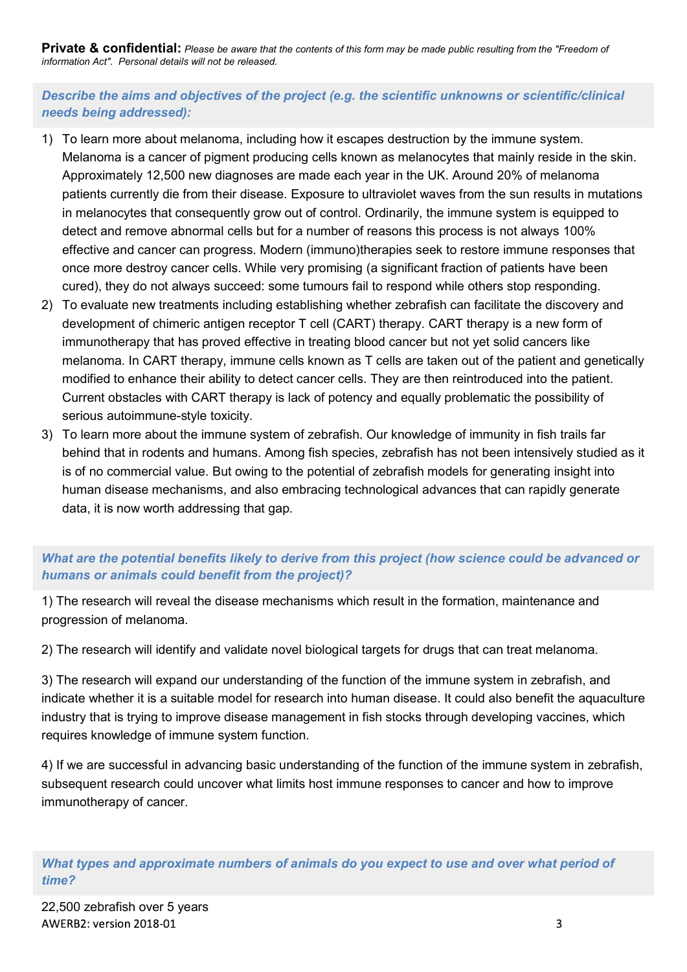Describe the aims and objectives of the project (e.g. the scientific unknowns or scientific/clinical needs being addressed):

- **Private & confidential:** Please be aware that the contents of this form may be made public resulting from the "Freedom of information Act". Personal details will not be released.<br>
Describe the aims and objectives of the p Melanoma is a cancer of pigment producing cells known as melanocytes that mainly reside in the skin. Approximately 12,500 new diagnoses are made each year in the UK. Around 20% of melanoma patients currently die from their disease. Exposure to ultraviolet waves from the sun results in mutations in melanocytes that consequently grow out of control. Ordinarily, the immune system is equipped to detect and remove abnormal cells but for a number of reasons this process is not always 100% effective and cancer can progress. Modern (immuno)therapies seek to restore immune responses that once more destroy cancer cells. While very promising (a significant fraction of patients have been cured), they do not always succeed: some tumours fail to respond while others stop responding. **Private & confidential:** Piease be aware that the contents of this form may be made public resulting from the "Freedom of chorestions act: Personal details will not be released.<br>
Describe the aims and objectives of the pr 1) To learn more about melanoma, including how it escapes destruction by the immune system.<br>
Melanoma is a cancer of pigment producing cells known as melanocytes that mainly reside in the skin.<br>
Approximately 12,500 new di
- development of chimeric antigen receptor T cell (CART) therapy. CART therapy is a new form of immunotherapy that has proved effective in treating blood cancer but not yet solid cancers like melanoma. In CART therapy, immune cells known as T cells are taken out of the patient and genetically modified to enhance their ability to detect cancer cells. They are then reintroduced into the patient. Current obstacles with CART therapy is lack of potency and equally problematic the possibility of serious autoimmune-style toxicity.
- behind that in rodents and humans. Among fish species, zebrafish has not been intensively studied as it is of no commercial value. But owing to the potential of zebrafish models for generating insight into human disease mechanisms, and also embracing technological advances that can rapidly generate data, it is now worth addressing that gap.

# What are the potential benefits likely to derive from this project (how science could be advanced or humans or animals could benefit from the project)?

1) The research will reveal the disease mechanisms which result in the formation, maintenance and progression of melanoma.

2) The research will identify and validate novel biological targets for drugs that can treat melanoma.

3) The research will expand our understanding of the function of the immune system in zebrafish, and indicate whether it is a suitable model for research into human disease. It could also benefit the aquaculture industry that is trying to improve disease management in fish stocks through developing vaccines, which requires knowledge of immune system function.

4) If we are successful in advancing basic understanding of the function of the immune system in zebrafish, subsequent research could uncover what limits host immune responses to cancer and how to improve immunotherapy of cancer.

What types and approximate numbers of animals do you expect to use and over what period of time?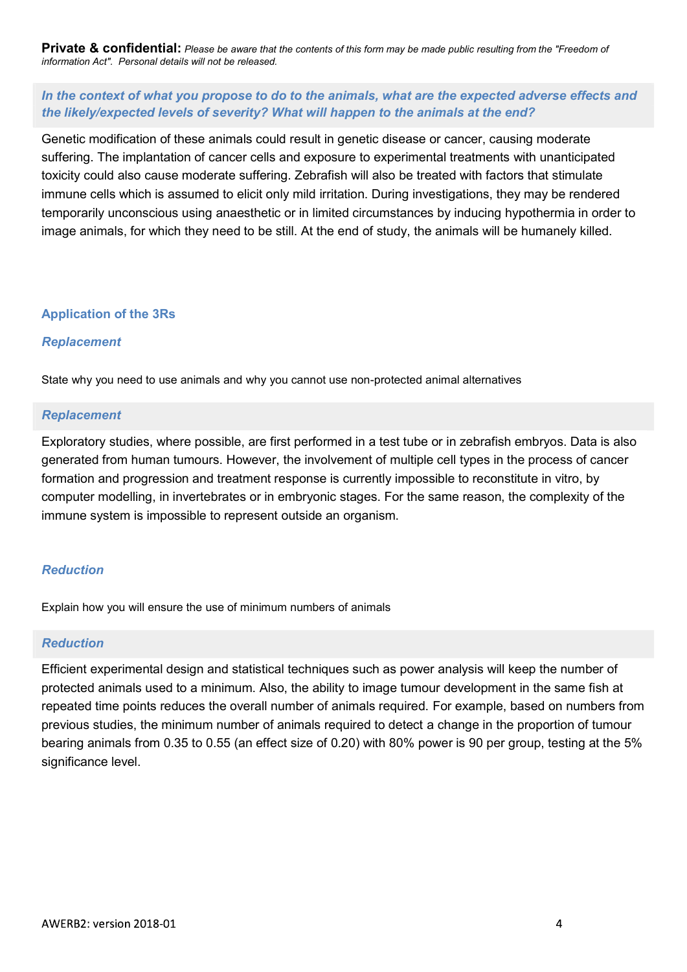# In the context of what you propose to do to the animals, what are the expected adverse effects and the likely/expected levels of severity? What will happen to the animals at the end?

Genetic modification of these animals could result in genetic disease or cancer, causing moderate suffering. The implantation of cancer cells and exposure to experimental treatments with unanticipated toxicity could also cause moderate suffering. Zebrafish will also be treated with factors that stimulate immune cells which is assumed to elicit only mild irritation. During investigations, they may be rendered temporarily unconscious using anaesthetic or in limited circumstances by inducing hypothermia in order to image animals, for which they need to be still. At the end of study, the animals will be humanely killed.

#### Application of the 3Rs

#### Replacement

State why you need to use animals and why you cannot use non-protected animal alternatives

#### Replacement

Exploratory studies, where possible, are first performed in a test tube or in zebrafish embryos. Data is also generated from human tumours. However, the involvement of multiple cell types in the process of cancer formation and progression and treatment response is currently impossible to reconstitute in vitro, by computer modelling, in invertebrates or in embryonic stages. For the same reason, the complexity of the immune system is impossible to represent outside an organism.

# Reduction

Explain how you will ensure the use of minimum numbers of animals

# Reduction

Efficient experimental design and statistical techniques such as power analysis will keep the number of protected animals used to a minimum. Also, the ability to image tumour development in the same fish at repeated time points reduces the overall number of animals required. For example, based on numbers from previous studies, the minimum number of animals required to detect a change in the proportion of tumour bearing animals from 0.35 to 0.55 (an effect size of 0.20) with 80% power is 90 per group, testing at the 5% significance level.